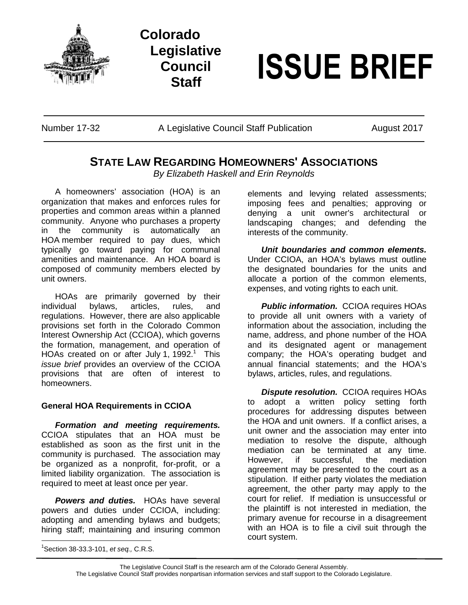





Number 17-32 A Legislative Council Staff Publication August 2017

## **STATE LAW REGARDING HOMEOWNERS' ASSOCIATIONS**

*By Elizabeth Haskell and Erin Reynolds*

A homeowners' association (HOA) is an organization that makes and enforces rules for properties and common areas within a planned community. Anyone who purchases a property in the community is automatically an HOA member required to pay dues, which typically go toward paying for communal amenities and maintenance. An HOA board is composed of community members elected by unit owners.

HOAs are primarily governed by their individual bylaws, articles, rules, and regulations. However, there are also applicable provisions set forth in the Colorado Common Interest Ownership Act (CCIOA), which governs the formation, management, and operation of HOAs created on or after July 1, 1992.<sup>1</sup> This *issue brief* provides an overview of the CCIOA provisions that are often of interest to homeowners.

## **General HOA Requirements in CCIOA**

*Formation and meeting requirements.* CCIOA stipulates that an HOA must be established as soon as the first unit in the community is purchased. The association may be organized as a nonprofit, for-profit, or a limited liability organization. The association is required to meet at least once per year.

*Powers and duties.* HOAs have several powers and duties under CCIOA, including: adopting and amending bylaws and budgets; hiring staff; maintaining and insuring common

1 Section 38-33.3-101, *et seq.,* C.R.S.

elements and levying related assessments; imposing fees and penalties; approving or denying a unit owner's architectural or landscaping changes; and defending the interests of the community.

*Unit boundaries and common elements.* Under CCIOA, an HOA's bylaws must outline the designated boundaries for the units and allocate a portion of the common elements, expenses, and voting rights to each unit.

*Public information.* CCIOA requires HOAs to provide all unit owners with a variety of information about the association, including the name, address, and phone number of the HOA and its designated agent or management company; the HOA's operating budget and annual financial statements; and the HOA's bylaws, articles, rules, and regulations.

*Dispute resolution.* CCIOA requires HOAs to adopt a written policy setting forth procedures for addressing disputes between the HOA and unit owners. If a conflict arises, a unit owner and the association may enter into mediation to resolve the dispute, although mediation can be terminated at any time. However, if successful, the mediation agreement may be presented to the court as a stipulation. If either party violates the mediation agreement, the other party may apply to the court for relief. If mediation is unsuccessful or the plaintiff is not interested in mediation, the primary avenue for recourse in a disagreement with an HOA is to file a civil suit through the court system.

The Legislative Council Staff is the research arm of the Colorado General Assembly. The Legislative Council Staff provides nonpartisan information services and staff support to the Colorado Legislature.